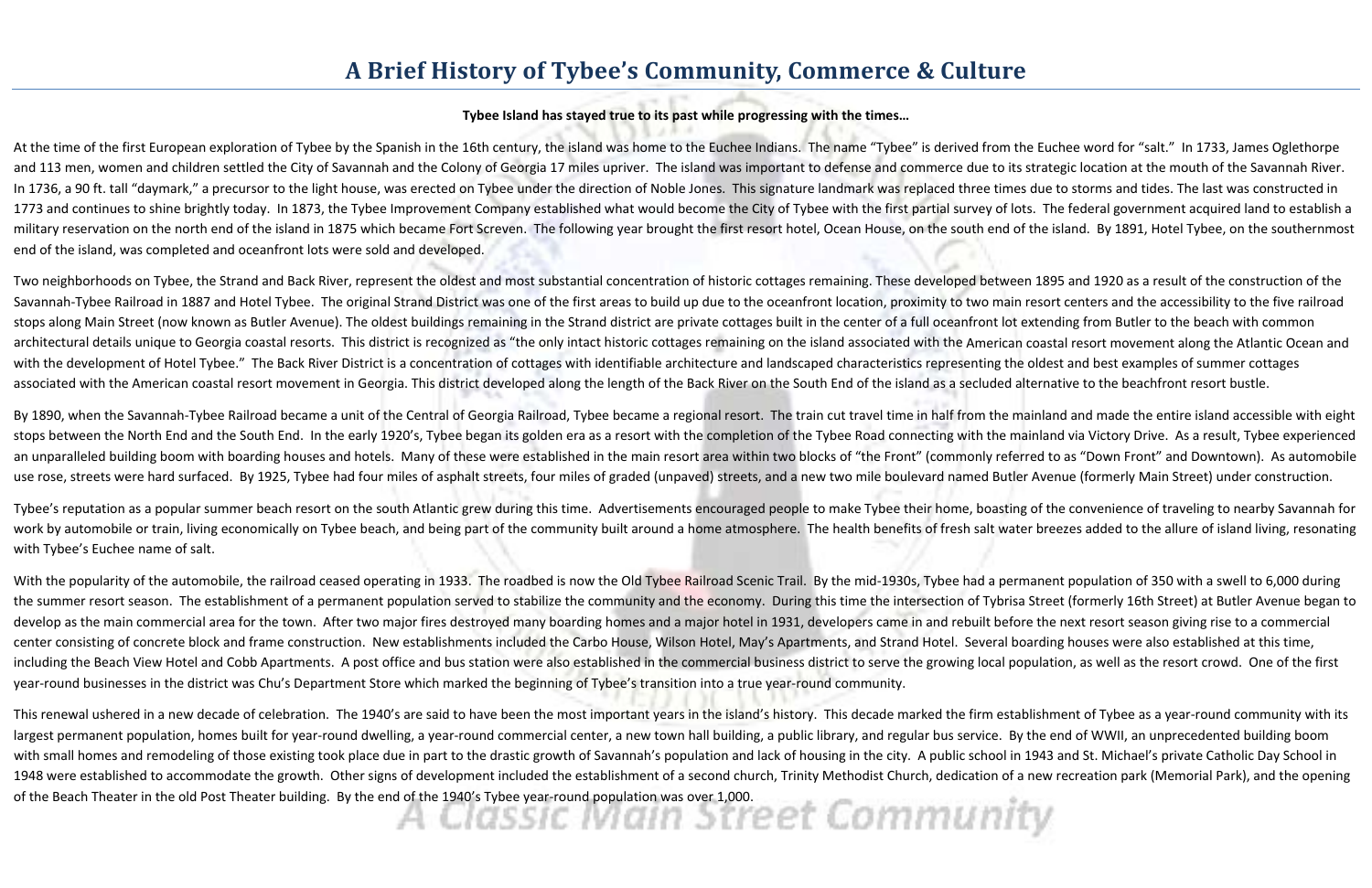## **A Brief History of Tybee's Community, Commerce & Culture**

## **Tybee Island has stayed true to its past while progressing with the times…**

Two neighborhoods on Tybee, the Strand and Back River, represent the oldest and most substantial concentration of historic cottages remaining. These developed between 1895 and 1920 as <sup>a</sup> result of the construction of the Savannah-Tybee Railroad in 1887 and Hotel Tybee. The original Strand District was one of the first areas to build up due to the oceanfront location, proximity to two main resort centers and the accessibility to the five ra stops along Main Street (now known as Butler Avenue). The oldest buildings remaining in the Strand district are private cottages built in the center of <sup>a</sup> full oceanfront lot extending from Butler to the beach with common architectural details unique to Georgia coastal resorts. This district is recognized as "the only intact historic cottages remaining on the island associated with the American coastal resort movement along the Atlantic Oce with the development of Hotel Tybee." The Back River District is <sup>a</sup> concentration of cottages with identifiable architecture and landscaped characteristics representing the oldest and best examples of summer cottages associated with the American coastal resort movement in Georgia. This district developed along the length of the Back River on the South End of the island as a secluded alternative to the beachfront resort bustle.

At the time of the first European exploration of Tybee by the Spanish in the 16th century, the island was home to the Euchee Indians. The name "Tybee" is derived from the Euchee word for "salt." In 1733, James Oglethorpe and 113 men, women and children settled the City of Savannah and the Colony of Georgia 17 miles upriver. The island was important to defense and commerce due to its strategic location at the mouth of the Savannah River. In 1736, a 90 ft. tall "daymark," a precursor to the light house, was erected on Tybee under the direction of Noble Jones. This signature landmark was replaced three times due to storms and tides. The last was constructed 1773 and continues to shine brightly today. In 1873, the Tybee Improvement Company established what would become the City of Tybee with the first partial survey of lots. The federal government acquired land to establish a military reservation on the north end of the island in 1875 which became Fort Screven. The following year brought the first resort hotel, Ocean House, on the south end of the island. By 1891, Hotel Tybee, on the southernmost end of the island, was completed and oceanfront lots were sold and developed.

By 1890, when the Savannah-Tybee Railroad became a unit of the Central of Georgia Railroad, Tybee became a regional resort. The train cut travel time in half from the mainland and made the entire island accessible with eig stops between the North End and the South End. In the early 1920's, Tybee began its golden era as <sup>a</sup> resort with the completion of the Tybee Road connecting with the mainland via Victory Drive. As <sup>a</sup> result, Tybee experienced an unparalleled building boom with boarding houses and hotels. Many of these were established in the main resort area within two blocks of "the Front" (commonly referred to as "Down Front" and Downtown). As automobile use rose, streets were hard surfaced. By 1925, Tybee had four miles of asphalt streets, four miles of graded (unpaved) streets, and <sup>a</sup> new two mile boulevard named Butler Avenue (formerly Main Street) under construction.

Tybee's reputation as <sup>a</sup> popular summer beach resort on the south Atlantic grew during this time. Advertisements encouraged people to make Tybee their home, boasting of the convenience of traveling to nearby Savannah for work by automobile or train, living economically on Tybee beach, and being part of the community built around a home atmosphere. The health benefits of fresh salt water breezes added to the allure of island living, resonat with Tybee's Euchee name of salt.

With the popularity of the automobile, the railroad ceased operating in 1933. The roadbed is now the Old Tybee Railroad Scenic Trail. By the mid-1930s, Tybee had a permanent population of 350 with a swell to 6,000 during the summer resort season. The establishment of <sup>a</sup> permanent population served to stabilize the community and the economy. During this time the intersection of Tybrisa Street (formerly 16th Street) at Butler Avenue began to develop as the main commercial area for the town. After two major fires destroyed many boarding homes and <sup>a</sup> major hotel in 1931, developers came in and rebuilt before the next resort season giving rise to <sup>a</sup> commercial center consisting of concrete block and frame construction. New establishments included the Carbo House, Wilson Hotel, May's Apartments, and Strand Hotel. Several boarding houses were also established at this time, including the Beach View Hotel and Cobb Apartments. A post office and bus station were also established in the commercial business district to serve the growing local population, as well as the resort crowd. One of the first year-round businesses in the district was Chu's Department Store which marked the beginning of Tybee's transition into a true year-round community.

This renewal ushered in a new decade of celebration. The 1940's are said to have been the most important years in the island's history. This decade marked the firm establishment of Tybee as <sup>a</sup> year‐round community with its largest permanent population, homes built for year-round dwelling, a year-round commercial center, a new town hall building, a public library, and regular bus service. By the end of WWII, an unprecedented building boom with small homes and remodeling of those existing took place due in part to the drastic growth of Savannah's population and lack of housing in the city. A public school in 1943 and St. Michael's private Catholic Day School 1948 were established to accommodate the growth. Other signs of development included the establishment of <sup>a</sup> second church, Trinity Methodist Church, dedication of <sup>a</sup> new recreation park (Memorial Park), and the opening of the Beach Theater in the old Post Theater building. By the end of the 1940's Tybee year‐round population was over 1,000.